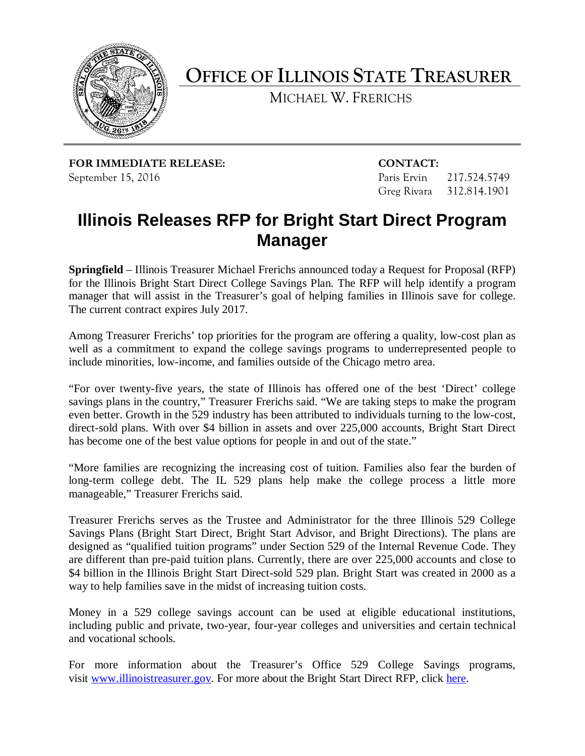

**OFFICE OF ILLINOIS STATE TREASURER**

MICHAEL W. FRERICHS

**FOR IMMEDIATE RELEASE: CONTACT:** September 15, 2016 **Paris Ervin 217.524.5749** 

Greg Rivara 312.814.1901

## **Illinois Releases RFP for Bright Start Direct Program Manager**

**Springfield** – Illinois Treasurer Michael Frerichs announced today a Request for Proposal (RFP) for the Illinois Bright Start Direct College Savings Plan. The RFP will help identify a program manager that will assist in the Treasurer's goal of helping families in Illinois save for college. The current contract expires July 2017.

Among Treasurer Frerichs' top priorities for the program are offering a quality, low-cost plan as well as a commitment to expand the college savings programs to underrepresented people to include minorities, low-income, and families outside of the Chicago metro area.

"For over twenty-five years, the state of Illinois has offered one of the best 'Direct' college savings plans in the country," Treasurer Frerichs said. "We are taking steps to make the program even better. Growth in the 529 industry has been attributed to individuals turning to the low-cost, direct-sold plans. With over \$4 billion in assets and over 225,000 accounts, Bright Start Direct has become one of the best value options for people in and out of the state."

"More families are recognizing the increasing cost of tuition. Families also fear the burden of long-term college debt. The IL 529 plans help make the college process a little more manageable," Treasurer Frerichs said.

Treasurer Frerichs serves as the Trustee and Administrator for the three Illinois 529 College Savings Plans (Bright Start Direct, Bright Start Advisor, and Bright Directions). The plans are designed as "qualified tuition programs" under Section 529 of the Internal Revenue Code. They are different than pre-paid tuition plans. Currently, there are over 225,000 accounts and close to \$4 billion in the Illinois Bright Start Direct-sold 529 plan. Bright Start was created in 2000 as a way to help families save in the midst of increasing tuition costs.

Money in a 529 college savings account can be used at eligible educational institutions, including public and private, two-year, four-year colleges and universities and certain technical and vocational schools.

For more information about the Treasurer's Office 529 College Savings programs, visit [www.illinoistreasurer.gov.](http://www.illinoistreasurer.gov/) For more about the Bright Start Direct RFP, click [here.](http://www.illinoistreasurer.gov/Office_of_the_Treasurer/Procurement/Procurement_Opportunities)